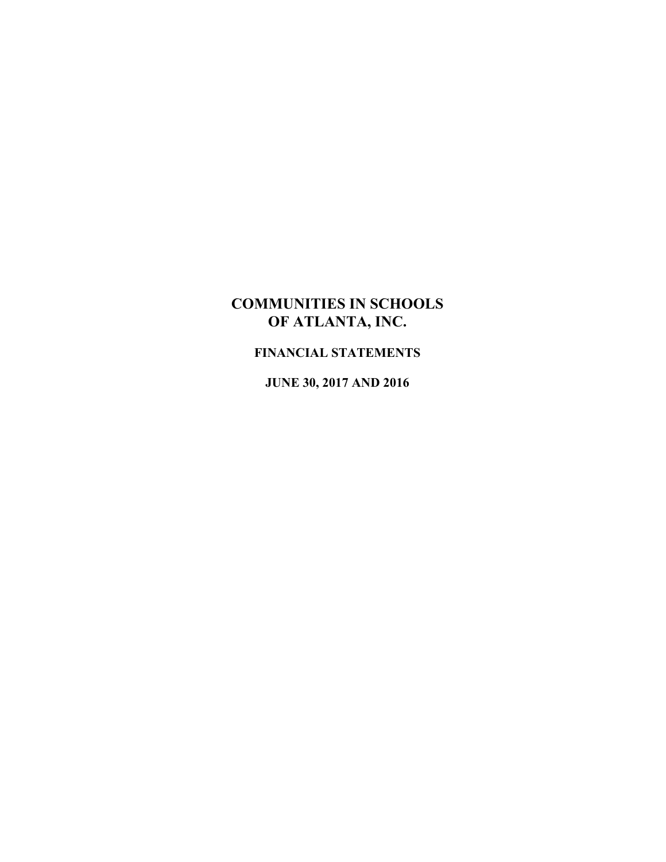## **FINANCIAL STATEMENTS**

**JUNE 30, 2017 AND 2016**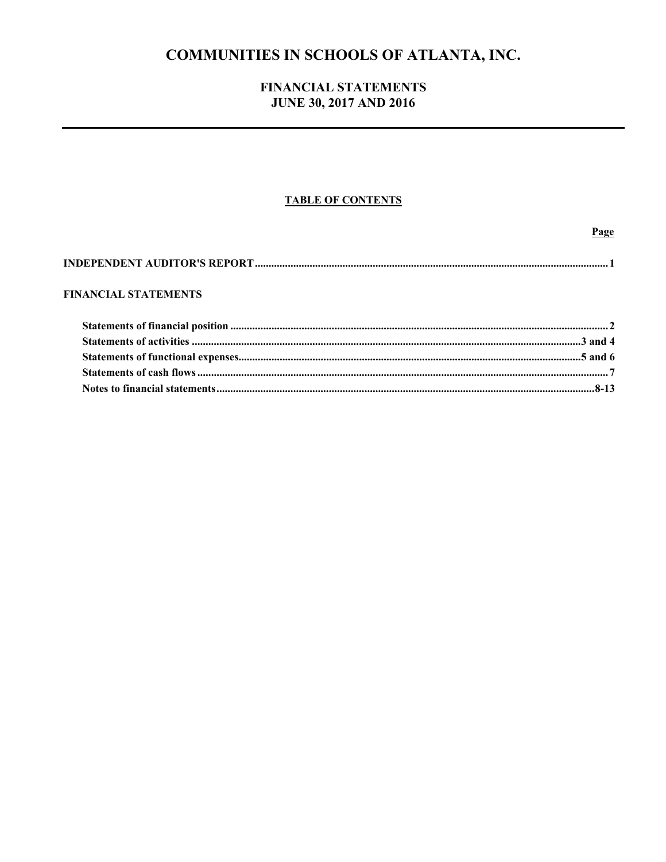## **FINANCIAL STATEMENTS JUNE 30, 2017 AND 2016**

#### **TABLE OF CONTENTS**

|                                  | Page        |
|----------------------------------|-------------|
|                                  |             |
| <b>FINANCIAL STATEMENTS</b>      |             |
| $\cdot$ $\cdot$<br>$\cdot \cdot$ | $\ddot{\,}$ |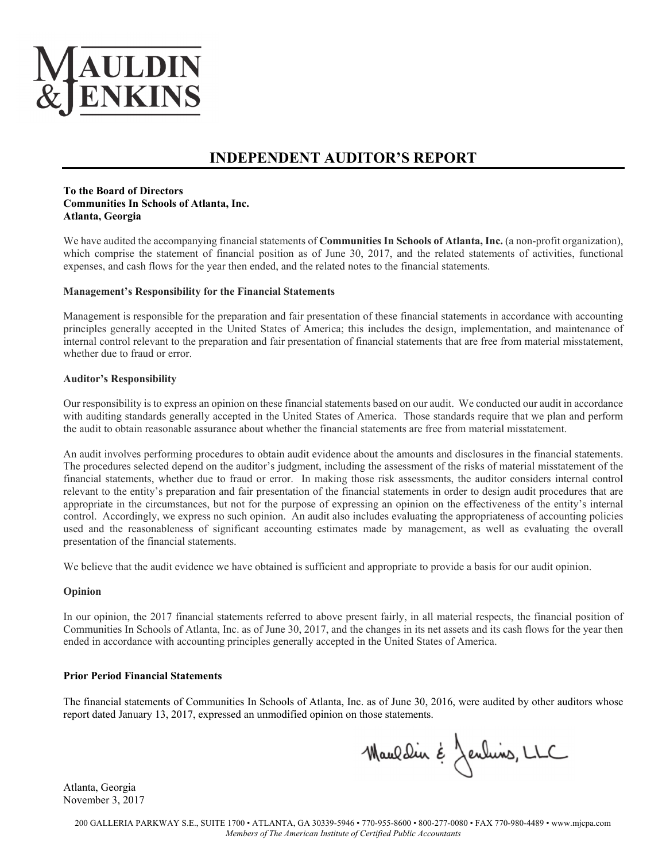

# **INDEPENDENT AUDITOR'S REPORT**

#### **To the Board of Directors Communities In Schools of Atlanta, Inc. Atlanta, Georgia**

We have audited the accompanying financial statements of **Communities In Schools of Atlanta, Inc.** (a non-profit organization), which comprise the statement of financial position as of June 30, 2017, and the related statements of activities, functional expenses, and cash flows for the year then ended, and the related notes to the financial statements.

#### **Management's Responsibility for the Financial Statements**

Management is responsible for the preparation and fair presentation of these financial statements in accordance with accounting principles generally accepted in the United States of America; this includes the design, implementation, and maintenance of internal control relevant to the preparation and fair presentation of financial statements that are free from material misstatement, whether due to fraud or error.

#### **Auditor's Responsibility**

Our responsibility is to express an opinion on these financial statements based on our audit. We conducted our audit in accordance with auditing standards generally accepted in the United States of America. Those standards require that we plan and perform the audit to obtain reasonable assurance about whether the financial statements are free from material misstatement.

An audit involves performing procedures to obtain audit evidence about the amounts and disclosures in the financial statements. The procedures selected depend on the auditor's judgment, including the assessment of the risks of material misstatement of the financial statements, whether due to fraud or error. In making those risk assessments, the auditor considers internal control relevant to the entity's preparation and fair presentation of the financial statements in order to design audit procedures that are appropriate in the circumstances, but not for the purpose of expressing an opinion on the effectiveness of the entity's internal control. Accordingly, we express no such opinion. An audit also includes evaluating the appropriateness of accounting policies used and the reasonableness of significant accounting estimates made by management, as well as evaluating the overall presentation of the financial statements.

We believe that the audit evidence we have obtained is sufficient and appropriate to provide a basis for our audit opinion.

#### **Opinion**

In our opinion, the 2017 financial statements referred to above present fairly, in all material respects, the financial position of Communities In Schools of Atlanta, Inc. as of June 30, 2017, and the changes in its net assets and its cash flows for the year then ended in accordance with accounting principles generally accepted in the United States of America.

#### **Prior Period Financial Statements**

The financial statements of Communities In Schools of Atlanta, Inc. as of June 30, 2016, were audited by other auditors whose report dated January 13, 2017, expressed an unmodified opinion on those statements.

Mauldin & Jenlins, LLC

Atlanta, Georgia November 3, 2017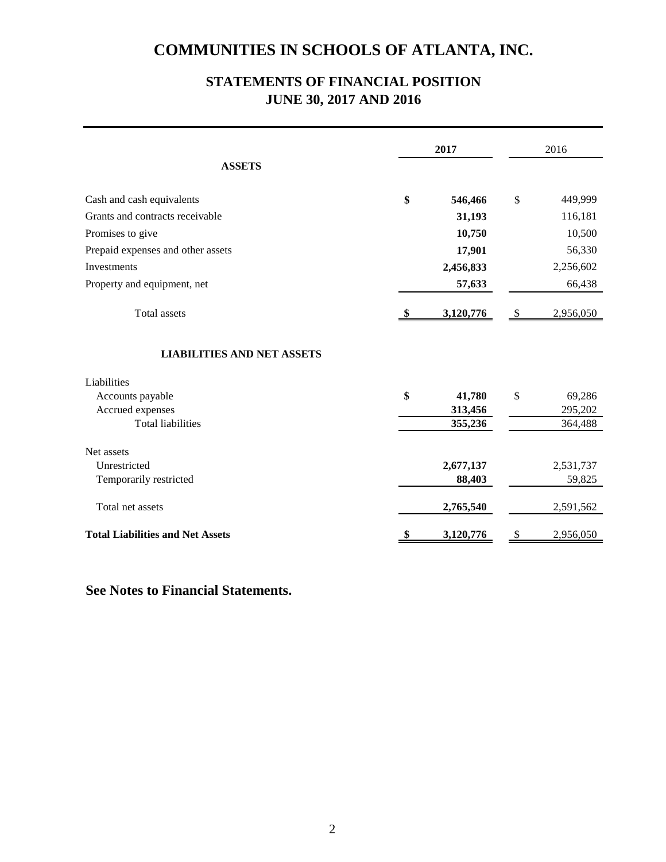# **STATEMENTS OF FINANCIAL POSITION JUNE 30, 2017 AND 2016**

| <b>ASSETS</b>                           | 2017 |           |    | 2016      |  |  |
|-----------------------------------------|------|-----------|----|-----------|--|--|
| Cash and cash equivalents               | \$   | 546,466   | \$ | 449,999   |  |  |
| Grants and contracts receivable         |      | 31,193    |    | 116,181   |  |  |
| Promises to give                        |      | 10,750    |    | 10,500    |  |  |
| Prepaid expenses and other assets       |      | 17,901    |    | 56,330    |  |  |
| <b>Investments</b>                      |      | 2,456,833 |    | 2,256,602 |  |  |
| Property and equipment, net             |      | 57,633    |    | 66,438    |  |  |
| <b>Total</b> assets                     |      | 3,120,776 | \$ | 2,956,050 |  |  |
| <b>LIABILITIES AND NET ASSETS</b>       |      |           |    |           |  |  |
| Liabilities                             |      |           |    |           |  |  |
| Accounts payable                        | \$   | 41,780    | \$ | 69,286    |  |  |
| Accrued expenses                        |      | 313,456   |    | 295,202   |  |  |
| <b>Total liabilities</b>                |      | 355,236   |    | 364,488   |  |  |
| Net assets                              |      |           |    |           |  |  |
| Unrestricted                            |      | 2,677,137 |    | 2,531,737 |  |  |
| Temporarily restricted                  |      | 88,403    |    | 59,825    |  |  |
| Total net assets                        |      | 2,765,540 |    | 2,591,562 |  |  |
| <b>Total Liabilities and Net Assets</b> |      | 3,120,776 |    | 2,956,050 |  |  |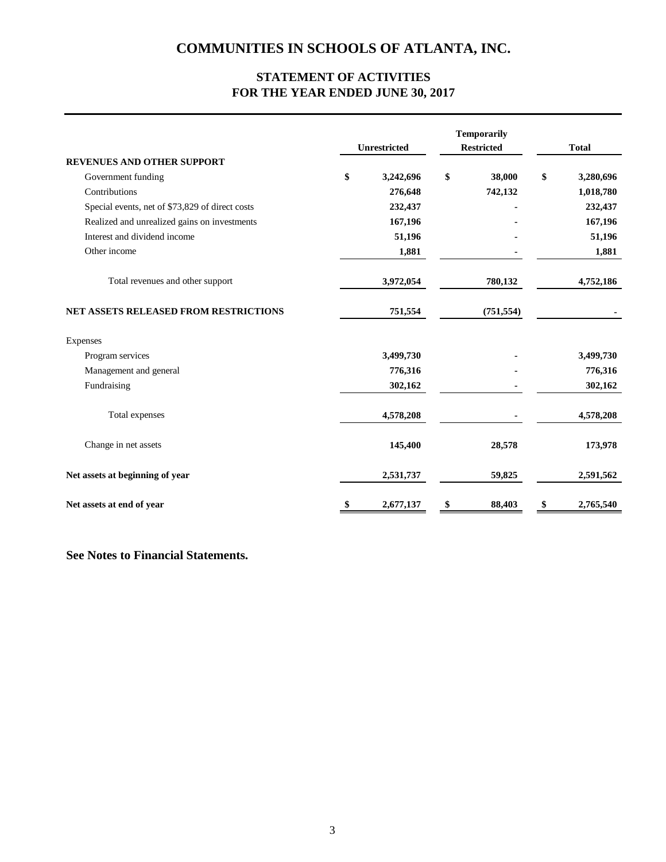## **STATEMENT OF ACTIVITIES FOR THE YEAR ENDED JUNE 30, 2017**

|                                                 | Unrestricted |           | <b>Temporarily</b><br><b>Restricted</b> |    | <b>Total</b> |
|-------------------------------------------------|--------------|-----------|-----------------------------------------|----|--------------|
| <b>REVENUES AND OTHER SUPPORT</b>               |              |           |                                         |    |              |
| Government funding                              | \$           | 3,242,696 | \$<br>38,000                            | \$ | 3,280,696    |
| Contributions                                   |              | 276,648   | 742,132                                 |    | 1,018,780    |
| Special events, net of \$73,829 of direct costs |              | 232,437   |                                         |    | 232,437      |
| Realized and unrealized gains on investments    |              | 167,196   |                                         |    | 167,196      |
| Interest and dividend income                    |              | 51,196    |                                         |    | 51,196       |
| Other income                                    |              | 1,881     |                                         |    | 1,881        |
| Total revenues and other support                |              | 3,972,054 | 780,132                                 |    | 4,752,186    |
| <b>NET ASSETS RELEASED FROM RESTRICTIONS</b>    |              | 751,554   | (751, 554)                              |    |              |
| Expenses                                        |              |           |                                         |    |              |
| Program services                                |              | 3,499,730 |                                         |    | 3,499,730    |
| Management and general                          |              | 776,316   |                                         |    | 776,316      |
| Fundraising                                     |              | 302,162   |                                         |    | 302,162      |
| Total expenses                                  |              | 4,578,208 |                                         |    | 4,578,208    |
| Change in net assets                            |              | 145,400   | 28,578                                  |    | 173,978      |
| Net assets at beginning of year                 |              | 2,531,737 | 59,825                                  |    | 2,591,562    |
| Net assets at end of year                       | \$           | 2,677,137 | \$<br>88,403                            | \$ | 2,765,540    |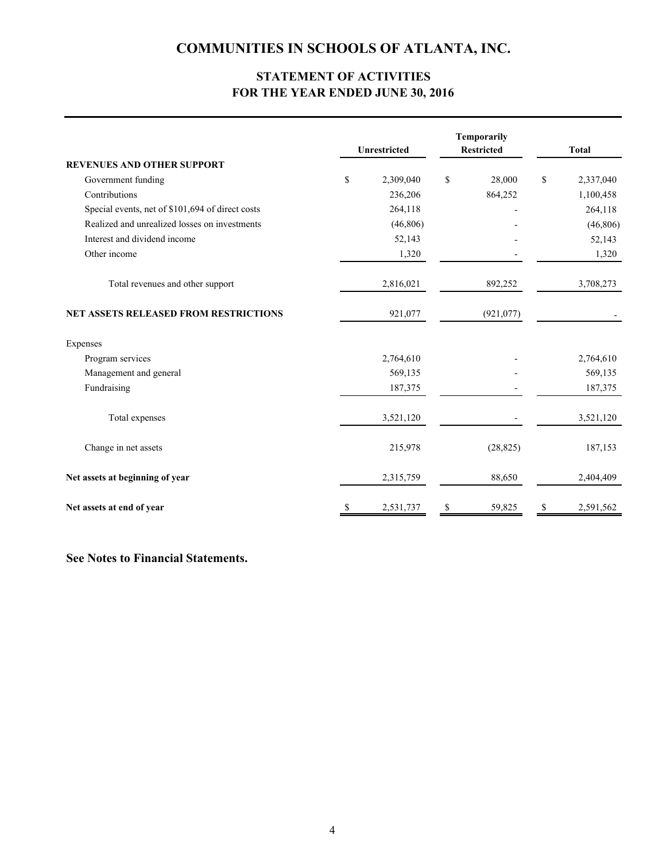## **STATEMENT OF ACTIVITIES FOR THE YEAR ENDED JUNE 30, 2016**

|                                                  | <b>Temporarily</b><br>Unrestricted<br><b>Restricted</b> |              | <b>Total</b> |    |           |
|--------------------------------------------------|---------------------------------------------------------|--------------|--------------|----|-----------|
| <b>REVENUES AND OTHER SUPPORT</b>                |                                                         |              |              |    |           |
| Government funding                               | \$<br>2,309,040                                         | $\mathbb{S}$ | 28,000       | \$ | 2,337,040 |
| Contributions                                    | 236,206                                                 |              | 864,252      |    | 1,100,458 |
| Special events, net of \$101,694 of direct costs | 264,118                                                 |              |              |    | 264,118   |
| Realized and unrealized losses on investments    | (46, 806)                                               |              |              |    | (46, 806) |
| Interest and dividend income                     | 52,143                                                  |              |              |    | 52,143    |
| Other income                                     | 1,320                                                   |              |              |    | 1,320     |
| Total revenues and other support                 | 2,816,021                                               |              | 892,252      |    | 3,708,273 |
| <b>NET ASSETS RELEASED FROM RESTRICTIONS</b>     | 921,077                                                 |              | (921, 077)   |    |           |
| Expenses                                         |                                                         |              |              |    |           |
| Program services                                 | 2,764,610                                               |              |              |    | 2,764,610 |
| Management and general                           | 569,135                                                 |              |              |    | 569,135   |
| Fundraising                                      | 187,375                                                 |              |              |    | 187,375   |
| Total expenses                                   | 3,521,120                                               |              |              |    | 3,521,120 |
| Change in net assets                             | 215,978                                                 |              | (28, 825)    |    | 187,153   |
| Net assets at beginning of year                  | 2,315,759                                               |              | 88,650       |    | 2,404,409 |
| Net assets at end of year                        | 2,531,737                                               | \$           | 59,825       | S  | 2,591,562 |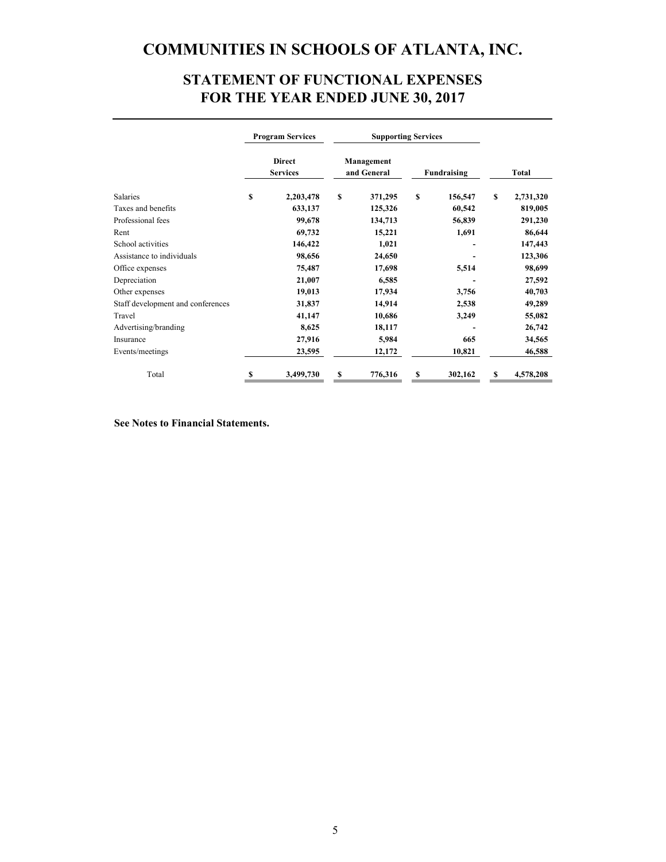# **STATEMENT OF FUNCTIONAL EXPENSES FOR THE YEAR ENDED JUNE 30, 2017**

|                                   |                                  | <b>Program Services</b> | <b>Supporting Services</b> |         |             |         |    |           |  |       |
|-----------------------------------|----------------------------------|-------------------------|----------------------------|---------|-------------|---------|----|-----------|--|-------|
|                                   | <b>Direct</b><br><b>Services</b> |                         | Management<br>and General  |         | Fundraising |         |    |           |  | Total |
| Salaries                          | S                                | 2,203,478               | S                          | 371,295 | S           | 156,547 | S  | 2,731,320 |  |       |
| Taxes and benefits                |                                  | 633,137                 |                            | 125,326 |             | 60,542  |    | 819,005   |  |       |
| Professional fees                 |                                  | 99,678                  |                            | 134,713 |             | 56,839  |    | 291,230   |  |       |
| Rent                              |                                  | 69,732                  |                            | 15,221  |             | 1,691   |    | 86,644    |  |       |
| School activities                 |                                  | 146,422                 |                            | 1,021   |             |         |    | 147,443   |  |       |
| Assistance to individuals         |                                  | 98,656                  |                            | 24,650  |             |         |    | 123,306   |  |       |
| Office expenses                   |                                  | 75,487                  |                            | 17,698  |             | 5,514   |    | 98,699    |  |       |
| Depreciation                      |                                  | 21,007                  |                            | 6,585   |             |         |    | 27,592    |  |       |
| Other expenses                    |                                  | 19,013                  |                            | 17,934  |             | 3,756   |    | 40,703    |  |       |
| Staff development and conferences |                                  | 31,837                  |                            | 14,914  |             | 2,538   |    | 49,289    |  |       |
| Travel                            |                                  | 41,147                  |                            | 10,686  |             | 3,249   |    | 55,082    |  |       |
| Advertising/branding              |                                  | 8,625                   |                            | 18,117  |             |         |    | 26,742    |  |       |
| Insurance                         |                                  | 27,916                  |                            | 5,984   |             | 665     |    | 34,565    |  |       |
| Events/meetings                   |                                  | 23,595                  |                            | 12,172  |             | 10,821  |    | 46,588    |  |       |
| Total                             | \$                               | 3,499,730               | \$                         | 776,316 | \$          | 302,162 | \$ | 4,578,208 |  |       |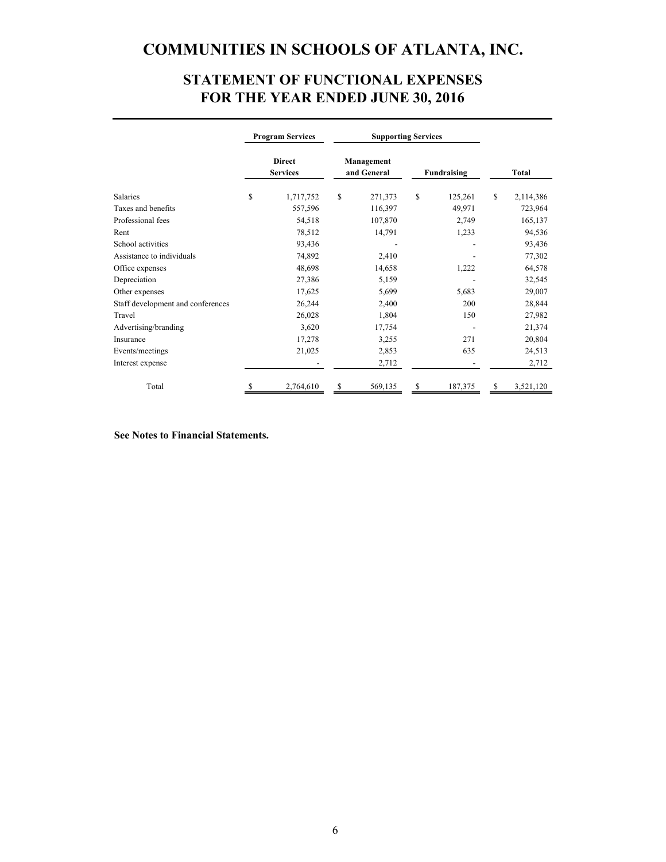## **STATEMENT OF FUNCTIONAL EXPENSES FOR THE YEAR ENDED JUNE 30, 2016**

|                                   | <b>Program Services</b>          |    | <b>Supporting Services</b> |             |         |             |              |
|-----------------------------------|----------------------------------|----|----------------------------|-------------|---------|-------------|--------------|
|                                   | <b>Direct</b><br><b>Services</b> |    | Management<br>and General  | Fundraising |         |             | <b>Total</b> |
| Salaries                          | \$<br>1,717,752                  | \$ | 271,373                    | \$          | 125,261 | $\mathbf S$ | 2,114,386    |
| Taxes and benefits                | 557,596                          |    | 116,397                    |             | 49,971  |             | 723,964      |
| Professional fees                 | 54,518                           |    | 107,870                    |             | 2,749   |             | 165,137      |
| Rent                              | 78,512                           |    | 14,791                     |             | 1,233   |             | 94,536       |
| School activities                 | 93,436                           |    |                            |             |         |             | 93,436       |
| Assistance to individuals         | 74,892                           |    | 2,410                      |             |         |             | 77,302       |
| Office expenses                   | 48,698                           |    | 14,658                     |             | 1,222   |             | 64,578       |
| Depreciation                      | 27,386                           |    | 5,159                      |             |         |             | 32,545       |
| Other expenses                    | 17,625                           |    | 5,699                      |             | 5,683   |             | 29,007       |
| Staff development and conferences | 26,244                           |    | 2,400                      |             | 200     |             | 28,844       |
| Travel                            | 26,028                           |    | 1,804                      |             | 150     |             | 27,982       |
| Advertising/branding              | 3,620                            |    | 17,754                     |             |         |             | 21,374       |
| Insurance                         | 17,278                           |    | 3,255                      |             | 271     |             | 20,804       |
| Events/meetings                   | 21,025                           |    | 2,853                      |             | 635     |             | 24,513       |
| Interest expense                  |                                  |    | 2,712                      |             |         |             | 2,712        |
| Total                             | \$<br>2,764,610                  | \$ | 569,135                    | \$          | 187,375 | \$          | 3,521,120    |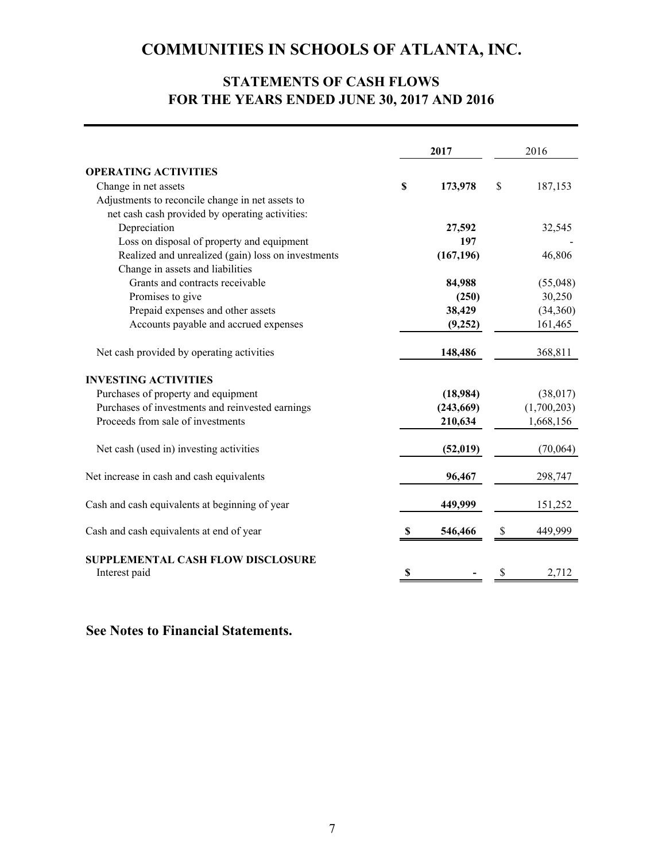# **STATEMENTS OF CASH FLOWS FOR THE YEARS ENDED JUNE 30, 2017 AND 2016**

|                                                           | 2017 |            | 2016          |
|-----------------------------------------------------------|------|------------|---------------|
| <b>OPERATING ACTIVITIES</b>                               |      |            |               |
| Change in net assets                                      | \$   | 173,978    | \$<br>187,153 |
| Adjustments to reconcile change in net assets to          |      |            |               |
| net cash cash provided by operating activities:           |      |            |               |
| Depreciation                                              |      | 27,592     | 32,545        |
| Loss on disposal of property and equipment                |      | 197        |               |
| Realized and unrealized (gain) loss on investments        |      | (167, 196) | 46,806        |
| Change in assets and liabilities                          |      |            |               |
| Grants and contracts receivable                           |      | 84,988     | (55,048)      |
| Promises to give                                          |      | (250)      | 30,250        |
| Prepaid expenses and other assets                         |      | 38,429     | (34,360)      |
| Accounts payable and accrued expenses                     |      | (9,252)    | 161,465       |
| Net cash provided by operating activities                 |      | 148,486    | 368,811       |
| <b>INVESTING ACTIVITIES</b>                               |      |            |               |
| Purchases of property and equipment                       |      | (18,984)   | (38,017)      |
| Purchases of investments and reinvested earnings          |      | (243,669)  | (1,700,203)   |
| Proceeds from sale of investments                         |      | 210,634    | 1,668,156     |
| Net cash (used in) investing activities                   |      | (52, 019)  | (70,064)      |
| Net increase in cash and cash equivalents                 |      | 96,467     | 298,747       |
| Cash and cash equivalents at beginning of year            |      | 449,999    | 151,252       |
| Cash and cash equivalents at end of year                  | S    | 546,466    | \$<br>449,999 |
| <b>SUPPLEMENTAL CASH FLOW DISCLOSURE</b><br>Interest paid | \$   |            | \$<br>2,712   |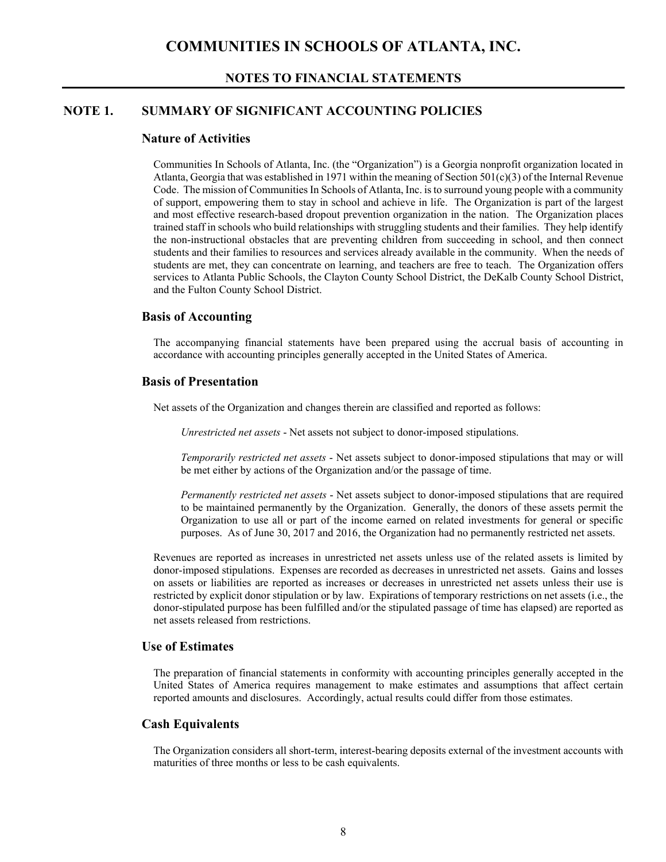#### **NOTES TO FINANCIAL STATEMENTS**

#### **NOTE 1. SUMMARY OF SIGNIFICANT ACCOUNTING POLICIES**

#### **Nature of Activities**

Communities In Schools of Atlanta, Inc. (the "Organization") is a Georgia nonprofit organization located in Atlanta, Georgia that was established in 1971 within the meaning of Section 501(c)(3) of the Internal Revenue Code. The mission of Communities In Schools of Atlanta, Inc. is to surround young people with a community of support, empowering them to stay in school and achieve in life. The Organization is part of the largest and most effective research-based dropout prevention organization in the nation. The Organization places trained staff in schools who build relationships with struggling students and their families. They help identify the non-instructional obstacles that are preventing children from succeeding in school, and then connect students and their families to resources and services already available in the community. When the needs of students are met, they can concentrate on learning, and teachers are free to teach. The Organization offers services to Atlanta Public Schools, the Clayton County School District, the DeKalb County School District, and the Fulton County School District.

#### **Basis of Accounting**

The accompanying financial statements have been prepared using the accrual basis of accounting in accordance with accounting principles generally accepted in the United States of America.

#### **Basis of Presentation**

Net assets of the Organization and changes therein are classified and reported as follows:

*Unrestricted net assets* - Net assets not subject to donor-imposed stipulations.

*Temporarily restricted net assets* - Net assets subject to donor-imposed stipulations that may or will be met either by actions of the Organization and/or the passage of time.

*Permanently restricted net assets* - Net assets subject to donor-imposed stipulations that are required to be maintained permanently by the Organization. Generally, the donors of these assets permit the Organization to use all or part of the income earned on related investments for general or specific purposes. As of June 30, 2017 and 2016, the Organization had no permanently restricted net assets.

Revenues are reported as increases in unrestricted net assets unless use of the related assets is limited by donor-imposed stipulations. Expenses are recorded as decreases in unrestricted net assets. Gains and losses on assets or liabilities are reported as increases or decreases in unrestricted net assets unless their use is restricted by explicit donor stipulation or by law. Expirations of temporary restrictions on net assets (i.e., the donor-stipulated purpose has been fulfilled and/or the stipulated passage of time has elapsed) are reported as net assets released from restrictions.

#### **Use of Estimates**

The preparation of financial statements in conformity with accounting principles generally accepted in the United States of America requires management to make estimates and assumptions that affect certain reported amounts and disclosures. Accordingly, actual results could differ from those estimates.

#### **Cash Equivalents**

The Organization considers all short-term, interest-bearing deposits external of the investment accounts with maturities of three months or less to be cash equivalents.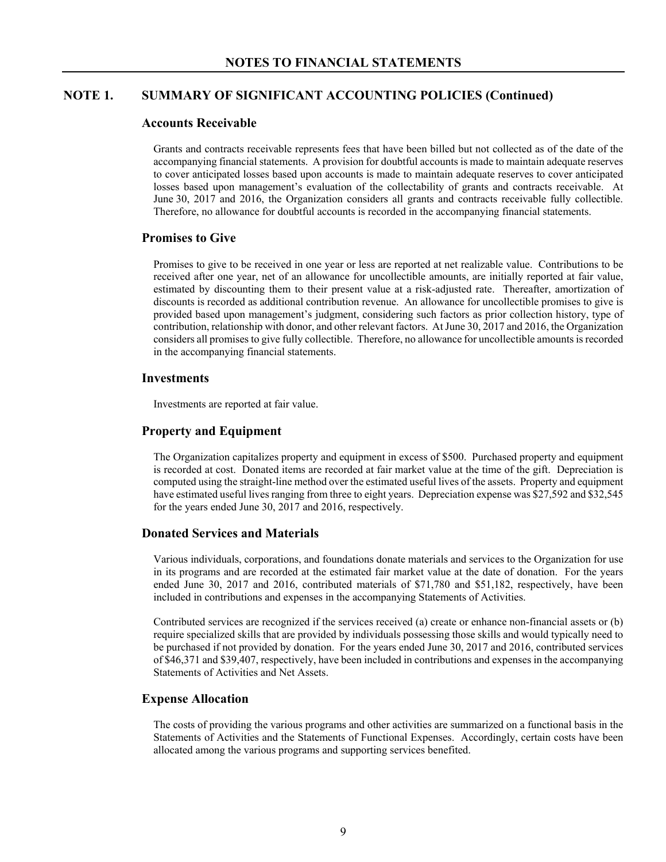### **NOTE 1. SUMMARY OF SIGNIFICANT ACCOUNTING POLICIES (Continued)**

#### **Accounts Receivable**

Grants and contracts receivable represents fees that have been billed but not collected as of the date of the accompanying financial statements. A provision for doubtful accounts is made to maintain adequate reserves to cover anticipated losses based upon accounts is made to maintain adequate reserves to cover anticipated losses based upon management's evaluation of the collectability of grants and contracts receivable. At June 30, 2017 and 2016, the Organization considers all grants and contracts receivable fully collectible. Therefore, no allowance for doubtful accounts is recorded in the accompanying financial statements.

#### **Promises to Give**

Promises to give to be received in one year or less are reported at net realizable value. Contributions to be received after one year, net of an allowance for uncollectible amounts, are initially reported at fair value, estimated by discounting them to their present value at a risk-adjusted rate. Thereafter, amortization of discounts is recorded as additional contribution revenue. An allowance for uncollectible promises to give is provided based upon management's judgment, considering such factors as prior collection history, type of contribution, relationship with donor, and other relevant factors. At June 30, 2017 and 2016, the Organization considers all promises to give fully collectible. Therefore, no allowance for uncollectible amounts is recorded in the accompanying financial statements.

#### **Investments**

Investments are reported at fair value.

#### **Property and Equipment**

The Organization capitalizes property and equipment in excess of \$500. Purchased property and equipment is recorded at cost. Donated items are recorded at fair market value at the time of the gift. Depreciation is computed using the straight-line method over the estimated useful lives of the assets. Property and equipment have estimated useful lives ranging from three to eight years. Depreciation expense was \$27,592 and \$32,545 for the years ended June 30, 2017 and 2016, respectively.

#### **Donated Services and Materials**

Various individuals, corporations, and foundations donate materials and services to the Organization for use in its programs and are recorded at the estimated fair market value at the date of donation. For the years ended June 30, 2017 and 2016, contributed materials of \$71,780 and \$51,182, respectively, have been included in contributions and expenses in the accompanying Statements of Activities.

Contributed services are recognized if the services received (a) create or enhance non-financial assets or (b) require specialized skills that are provided by individuals possessing those skills and would typically need to be purchased if not provided by donation. For the years ended June 30, 2017 and 2016, contributed services of \$46,371 and \$39,407, respectively, have been included in contributions and expenses in the accompanying Statements of Activities and Net Assets.

#### **Expense Allocation**

The costs of providing the various programs and other activities are summarized on a functional basis in the Statements of Activities and the Statements of Functional Expenses. Accordingly, certain costs have been allocated among the various programs and supporting services benefited.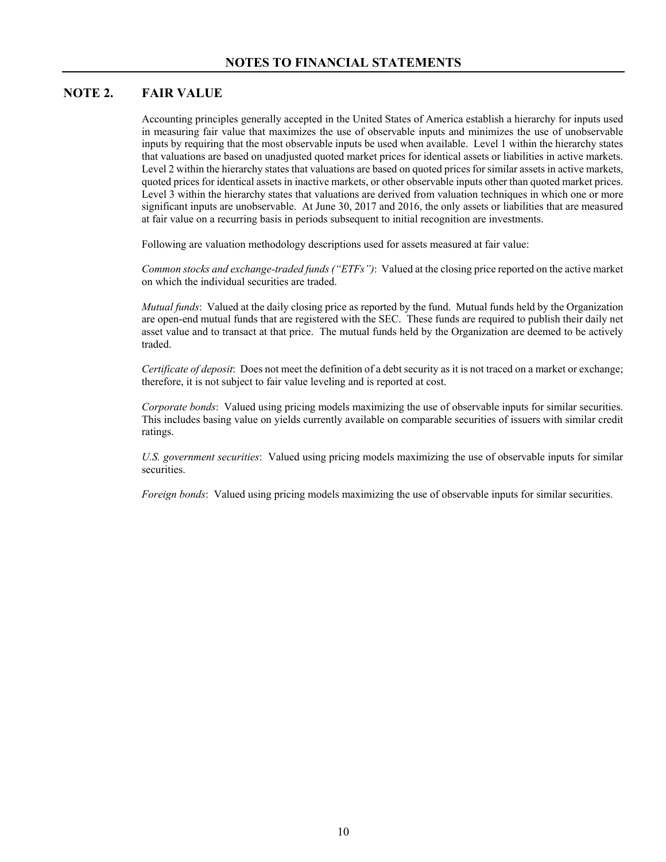### **NOTE 2. FAIR VALUE**

Accounting principles generally accepted in the United States of America establish a hierarchy for inputs used in measuring fair value that maximizes the use of observable inputs and minimizes the use of unobservable inputs by requiring that the most observable inputs be used when available. Level 1 within the hierarchy states that valuations are based on unadjusted quoted market prices for identical assets or liabilities in active markets. Level 2 within the hierarchy states that valuations are based on quoted prices for similar assets in active markets, quoted prices for identical assets in inactive markets, or other observable inputs other than quoted market prices. Level 3 within the hierarchy states that valuations are derived from valuation techniques in which one or more significant inputs are unobservable. At June 30, 2017 and 2016, the only assets or liabilities that are measured at fair value on a recurring basis in periods subsequent to initial recognition are investments.

Following are valuation methodology descriptions used for assets measured at fair value:

*Common stocks and exchange-traded funds ("ETFs")*: Valued at the closing price reported on the active market on which the individual securities are traded.

*Mutual funds*: Valued at the daily closing price as reported by the fund. Mutual funds held by the Organization are open-end mutual funds that are registered with the SEC. These funds are required to publish their daily net asset value and to transact at that price. The mutual funds held by the Organization are deemed to be actively traded.

*Certificate of deposit*: Does not meet the definition of a debt security as it is not traced on a market or exchange; therefore, it is not subject to fair value leveling and is reported at cost.

*Corporate bonds*: Valued using pricing models maximizing the use of observable inputs for similar securities. This includes basing value on yields currently available on comparable securities of issuers with similar credit ratings.

*U.S. government securities*: Valued using pricing models maximizing the use of observable inputs for similar securities.

*Foreign bonds*: Valued using pricing models maximizing the use of observable inputs for similar securities.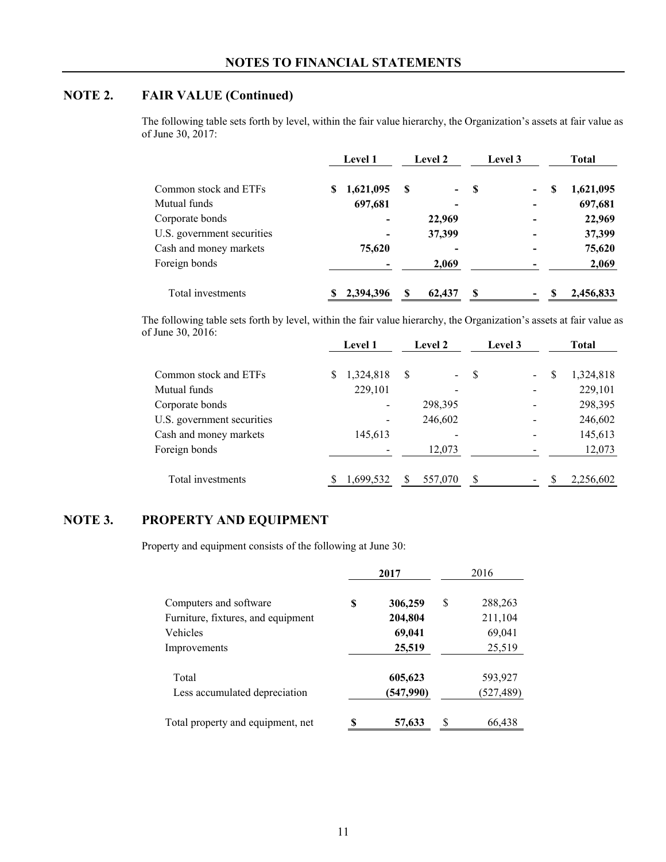### **NOTE 2. FAIR VALUE (Continued)**

The following table sets forth by level, within the fair value hierarchy, the Organization's assets at fair value as of June 30, 2017:

|                            | <b>Level 1</b>           | Level 2      | Level 3                            | <b>Total</b> |           |
|----------------------------|--------------------------|--------------|------------------------------------|--------------|-----------|
| Common stock and ETFs      | 1,621,095<br>S           | -S<br>$\sim$ | -S<br>$\qquad \qquad \blacksquare$ | S            | 1,621,095 |
| Mutual funds               | 697,681                  |              |                                    |              | 697,681   |
| Corporate bonds            |                          | 22,969       |                                    |              | 22,969    |
| U.S. government securities | $\overline{\phantom{0}}$ | 37,399       | $\overline{\phantom{0}}$           |              | 37,399    |
| Cash and money markets     | 75,620                   |              | $\overline{\phantom{0}}$           |              | 75,620    |
| Foreign bonds              |                          | 2,069        |                                    |              | 2,069     |
| Total investments          | 2.394.396                | 62,437       | S                                  |              | 2,456,833 |

The following table sets forth by level, within the fair value hierarchy, the Organization's assets at fair value as of June 30, 2016:

|                            | <b>Level 1</b> | Level 2     | Level 3                      | <b>Total</b>   |
|----------------------------|----------------|-------------|------------------------------|----------------|
| Common stock and ETFs      | 1,324,818      | S<br>$\sim$ | - \$<br>$\blacksquare$       | 1,324,818<br>S |
| Mutual funds               | 229,101        |             | $\qquad \qquad \blacksquare$ | 229,101        |
| Corporate bonds            |                | 298,395     | $\overline{\phantom{a}}$     | 298,395        |
| U.S. government securities |                | 246,602     | $\overline{\phantom{a}}$     | 246,602        |
| Cash and money markets     | 145,613        |             | $\overline{\phantom{a}}$     | 145,613        |
| Foreign bonds              |                | 12,073      |                              | 12,073         |
| Total investments          | 1,699,532      | 557,070     | \$                           | 2,256,602      |

### **NOTE 3. PROPERTY AND EQUIPMENT**

Property and equipment consists of the following at June 30:

|                                    |   | 2017      |    | 2016       |
|------------------------------------|---|-----------|----|------------|
| Computers and software             | S | 306,259   | \$ | 288,263    |
| Furniture, fixtures, and equipment |   | 204,804   |    | 211,104    |
| Vehicles                           |   | 69,041    |    | 69,041     |
| Improvements                       |   | 25,519    |    | 25,519     |
| Total                              |   | 605,623   |    | 593,927    |
| Less accumulated depreciation      |   | (547,990) |    | (527, 489) |
| Total property and equipment, net  |   | 57,633    | S  | 66,438     |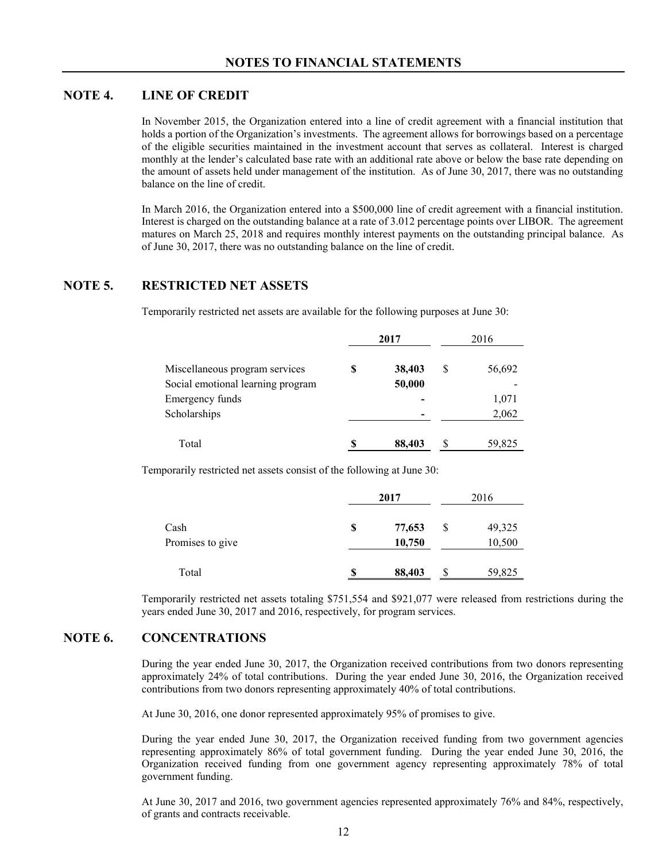#### **NOTE 4. LINE OF CREDIT**

In November 2015, the Organization entered into a line of credit agreement with a financial institution that holds a portion of the Organization's investments. The agreement allows for borrowings based on a percentage of the eligible securities maintained in the investment account that serves as collateral. Interest is charged monthly at the lender's calculated base rate with an additional rate above or below the base rate depending on the amount of assets held under management of the institution. As of June 30, 2017, there was no outstanding balance on the line of credit.

In March 2016, the Organization entered into a \$500,000 line of credit agreement with a financial institution. Interest is charged on the outstanding balance at a rate of 3.012 percentage points over LIBOR. The agreement matures on March 25, 2018 and requires monthly interest payments on the outstanding principal balance. As of June 30, 2017, there was no outstanding balance on the line of credit.

#### **NOTE 5. RESTRICTED NET ASSETS**

Temporarily restricted net assets are available for the following purposes at June 30:

|                                   |   | 2017   | 2016 |        |  |
|-----------------------------------|---|--------|------|--------|--|
| Miscellaneous program services    | S | 38,403 | S    | 56,692 |  |
| Social emotional learning program |   | 50,000 |      |        |  |
| Emergency funds                   |   |        |      | 1,071  |  |
| Scholarships                      |   |        |      | 2,062  |  |
| Total                             |   | 88,403 | \$.  | 59,825 |  |

Temporarily restricted net assets consist of the following at June 30:

|                  | 2017 |        | 2016 |        |
|------------------|------|--------|------|--------|
| Cash             | S    | 77,653 | S    | 49,325 |
| Promises to give |      | 10,750 |      | 10,500 |
| Total            | S    | 88,403 | S    | 59,825 |

Temporarily restricted net assets totaling \$751,554 and \$921,077 were released from restrictions during the years ended June 30, 2017 and 2016, respectively, for program services.

#### **NOTE 6. CONCENTRATIONS**

During the year ended June 30, 2017, the Organization received contributions from two donors representing approximately 24% of total contributions. During the year ended June 30, 2016, the Organization received contributions from two donors representing approximately 40% of total contributions.

At June 30, 2016, one donor represented approximately 95% of promises to give.

During the year ended June 30, 2017, the Organization received funding from two government agencies representing approximately 86% of total government funding. During the year ended June 30, 2016, the Organization received funding from one government agency representing approximately 78% of total government funding.

At June 30, 2017 and 2016, two government agencies represented approximately 76% and 84%, respectively, of grants and contracts receivable.